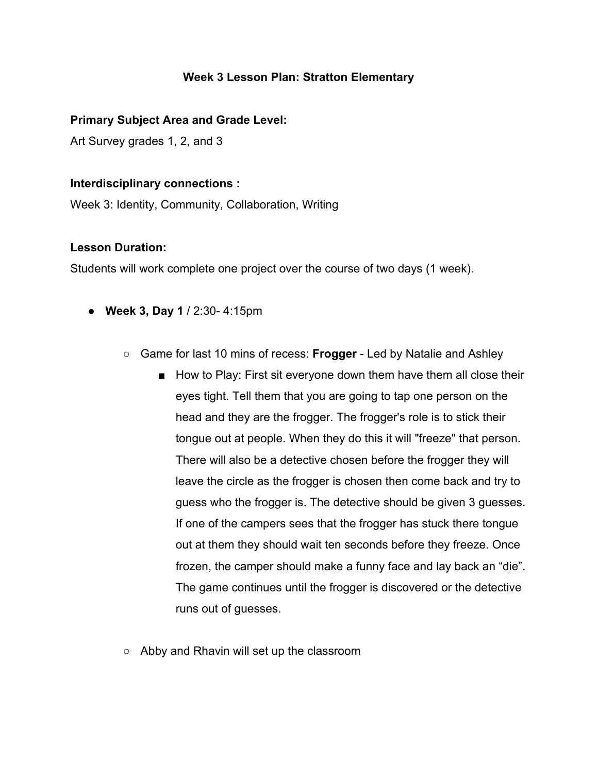### **Week 3 Lesson Plan: Stratton Elementary**

#### **Primary Subject Area and Grade Level:**

Art Survey grades 1, 2, and 3

#### **Interdisciplinary connections :**

Week 3: Identity, Community, Collaboration, Writing

#### **Lesson Duration:**

Students will work complete one project over the course of two days (1 week).

- **Week 3, Day 1** / 2:30- 4:15pm
	- Game for last 10 mins of recess: **Frogger** Led by Natalie and Ashley
		- How to Play: First sit everyone down them have them all close their eyes tight. Tell them that you are going to tap one person on the head and they are the frogger. The frogger's role is to stick their tongue out at people. When they do this it will "freeze" that person. There will also be a detective chosen before the frogger they will leave the circle as the frogger is chosen then come back and try to guess who the frogger is. The detective should be given 3 guesses. If one of the campers sees that the frogger has stuck there tongue out at them they should wait ten seconds before they freeze. Once frozen, the camper should make a funny face and lay back an "die". The game continues until the frogger is discovered or the detective runs out of guesses.
	- Abby and Rhavin will set up the classroom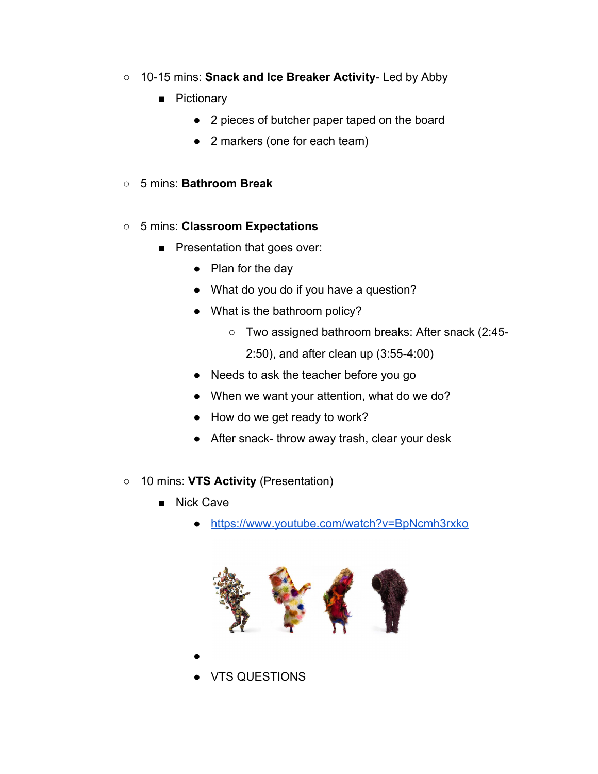- 10-15 mins: **Snack and Ice Breaker Activity** Led by Abby
	- Pictionary
		- 2 pieces of butcher paper taped on the board
		- 2 markers (one for each team)
- 5 mins: **Bathroom Break**

### ○ 5 mins: **Classroom Expectations**

- Presentation that goes over:
	- Plan for the day
	- What do you do if you have a question?
	- What is the bathroom policy?
		- Two assigned bathroom breaks: After snack (2:45-
			- 2:50), and after clean up (3:55-4:00)
	- Needs to ask the teacher before you go
	- When we want your attention, what do we do?
	- How do we get ready to work?
	- After snack- throw away trash, clear your desk
- 10 mins: **VTS Activity** (Presentation)
	- Nick Cave

●

● <https://www.youtube.com/watch?v=BpNcmh3rxko>



**VTS QUESTIONS**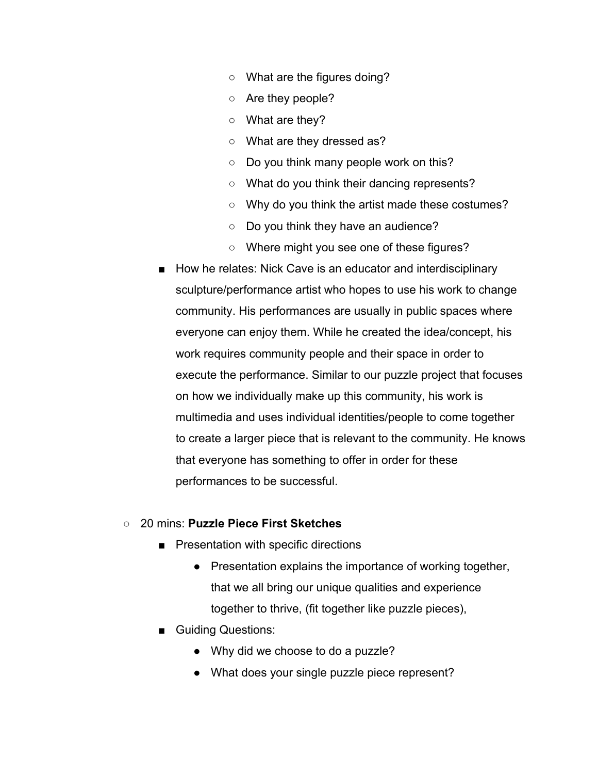- What are the figures doing?
- Are they people?
- What are they?
- What are they dressed as?
- Do you think many people work on this?
- What do you think their dancing represents?
- Why do you think the artist made these costumes?
- Do you think they have an audience?
- Where might you see one of these figures?
- How he relates: Nick Cave is an educator and interdisciplinary sculpture/performance artist who hopes to use his work to change community. His performances are usually in public spaces where everyone can enjoy them. While he created the idea/concept, his work requires community people and their space in order to execute the performance. Similar to our puzzle project that focuses on how we individually make up this community, his work is multimedia and uses individual identities/people to come together to create a larger piece that is relevant to the community. He knows that everyone has something to offer in order for these performances to be successful.

#### ○ 20 mins: **Puzzle Piece First Sketches**

- Presentation with specific directions
	- Presentation explains the importance of working together, that we all bring our unique qualities and experience together to thrive, (fit together like puzzle pieces),
- Guiding Questions:
	- Why did we choose to do a puzzle?
	- What does your single puzzle piece represent?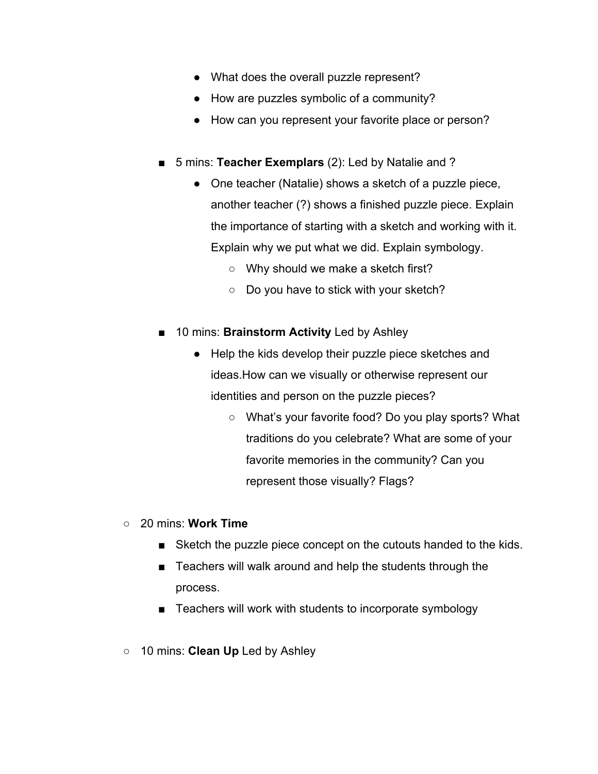- What does the overall puzzle represent?
- How are puzzles symbolic of a community?
- How can you represent your favorite place or person?
- 5 mins: **Teacher Exemplars** (2): Led by Natalie and ?
	- One teacher (Natalie) shows a sketch of a puzzle piece, another teacher (?) shows a finished puzzle piece. Explain the importance of starting with a sketch and working with it. Explain why we put what we did. Explain symbology.
		- Why should we make a sketch first?
		- Do you have to stick with your sketch?
- 10 mins: **Brainstorm Activity** Led by Ashley
	- Help the kids develop their puzzle piece sketches and ideas.How can we visually or otherwise represent our identities and person on the puzzle pieces?
		- What's your favorite food? Do you play sports? What traditions do you celebrate? What are some of your favorite memories in the community? Can you represent those visually? Flags?
- 20 mins: **Work Time**
	- Sketch the puzzle piece concept on the cutouts handed to the kids.
	- Teachers will walk around and help the students through the process.
	- Teachers will work with students to incorporate symbology
- 10 mins: **Clean Up** Led by Ashley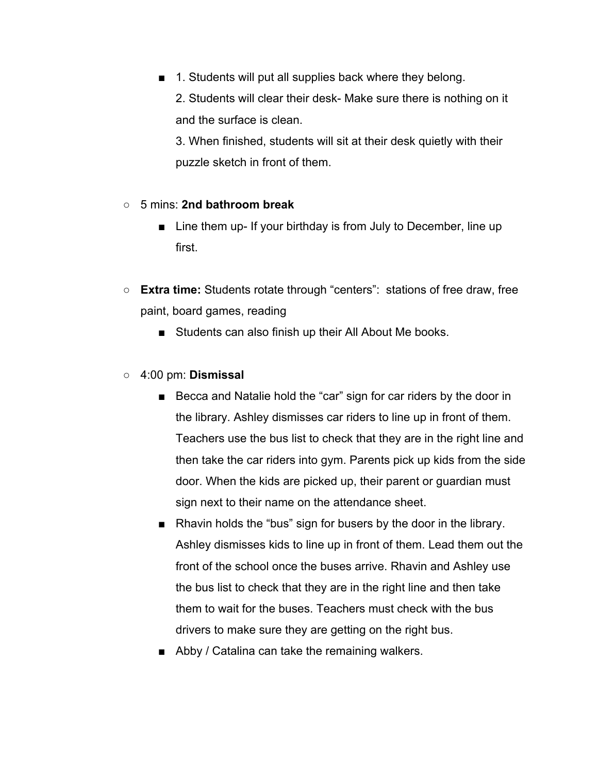■ 1. Students will put all supplies back where they belong.

2. Students will clear their desk- Make sure there is nothing on it and the surface is clean.

3. When finished, students will sit at their desk quietly with their puzzle sketch in front of them.

### ○ 5 mins: **2nd bathroom break**

- Line them up- If your birthday is from July to December, line up first.
- **Extra time:** Students rotate through "centers": stations of free draw, free paint, board games, reading
	- Students can also finish up their All About Me books.
- 4:00 pm: **Dismissal**
	- Becca and Natalie hold the "car" sign for car riders by the door in the library. Ashley dismisses car riders to line up in front of them. Teachers use the bus list to check that they are in the right line and then take the car riders into gym. Parents pick up kids from the side door. When the kids are picked up, their parent or guardian must sign next to their name on the attendance sheet.
	- Rhavin holds the "bus" sign for busers by the door in the library. Ashley dismisses kids to line up in front of them. Lead them out the front of the school once the buses arrive. Rhavin and Ashley use the bus list to check that they are in the right line and then take them to wait for the buses. Teachers must check with the bus drivers to make sure they are getting on the right bus.
	- Abby / Catalina can take the remaining walkers.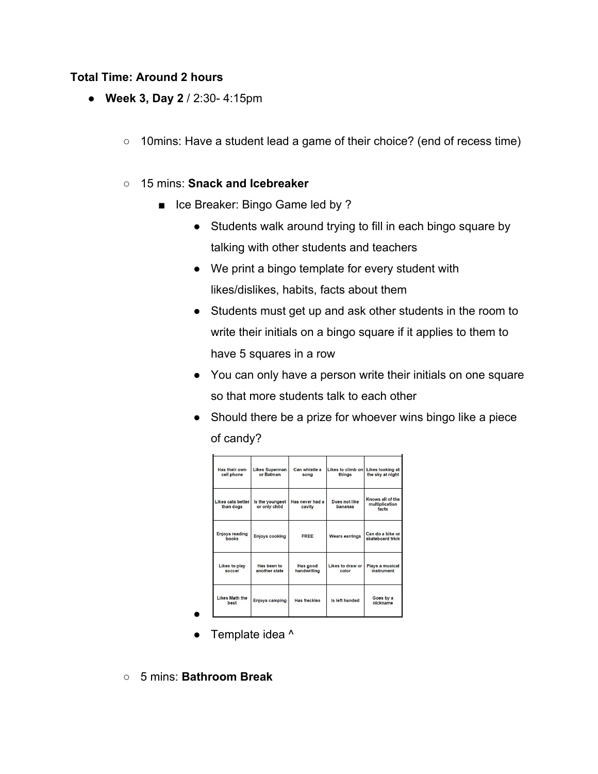#### **Total Time: Around 2 hours**

- **Week 3, Day 2** / 2:30- 4:15pm
	- 10mins: Have a student lead a game of their choice? (end of recess time)

### ○ 15 mins: **Snack and Icebreaker**

- Ice Breaker: Bingo Game led by ?
	- Students walk around trying to fill in each bingo square by talking with other students and teachers
	- We print a bingo template for every student with likes/dislikes, habits, facts about them
	- Students must get up and ask other students in the room to write their initials on a bingo square if it applies to them to have 5 squares in a row
	- You can only have a person write their initials on one square so that more students talk to each other
	- Should there be a prize for whoever wins bingo like a piece of candy?

| Has their own<br>cell phone    | <b>Likes Superman</b><br>or Batman | Can whistle a<br>sona          | Likes to climb on<br>thinas | <b>Likes looking at</b><br>the sky at night |
|--------------------------------|------------------------------------|--------------------------------|-----------------------------|---------------------------------------------|
| Likes cats better<br>than dogs | Is the youngest<br>or only child   | Has never had a<br>cavity      | Does not like<br>bananas    | Knows all of the<br>multiplication<br>facts |
| <b>Enjoys reading</b><br>books | <b>Enjoys cooking</b>              | <b>FREE</b>                    | <b>Wears earrings</b>       | Can do a bike or<br>skateboard trick        |
| Likes to play<br>soccer        | Has been to<br>another state       | <b>Has good</b><br>handwriting | Likes to draw or<br>color   | Plays a musical<br>instrument               |
| <b>Likes Math the</b><br>best  | <b>Enjoys camping</b>              | <b>Has freckles</b>            | Is left handed              | Goes by a<br>nickname                       |

- Template idea ^
- 5 mins: **Bathroom Break**

●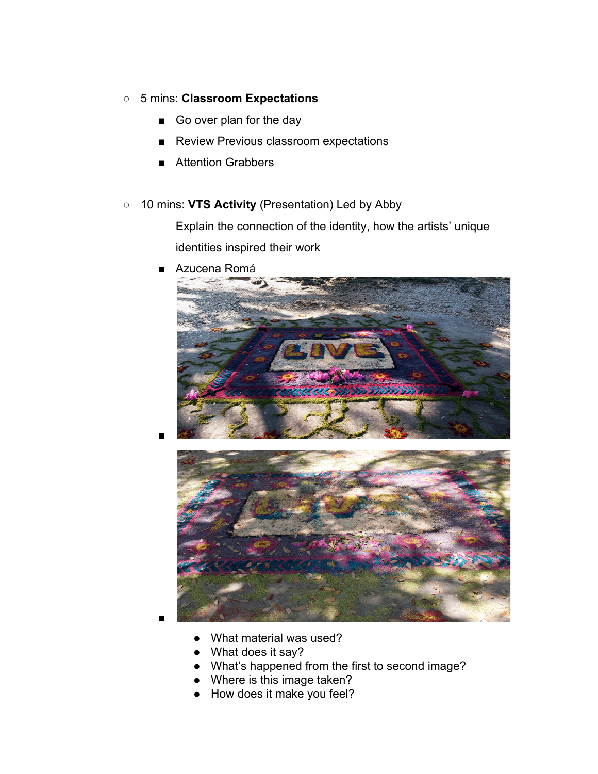- 5 mins: **Classroom Expectations**
	- Go over plan for the day
	- Review Previous classroom expectations
	- Attention Grabbers
- 10 mins: **VTS Activity** (Presentation) Led by Abby

Explain the connection of the identity, how the artists' unique identities inspired their work

Azucena Ro[má](https://www.azuroma.com/)





■

■

- What material was used?
- What does it say?
- What's happened from the first to second image?
- Where is this image taken?
- How does it make you feel?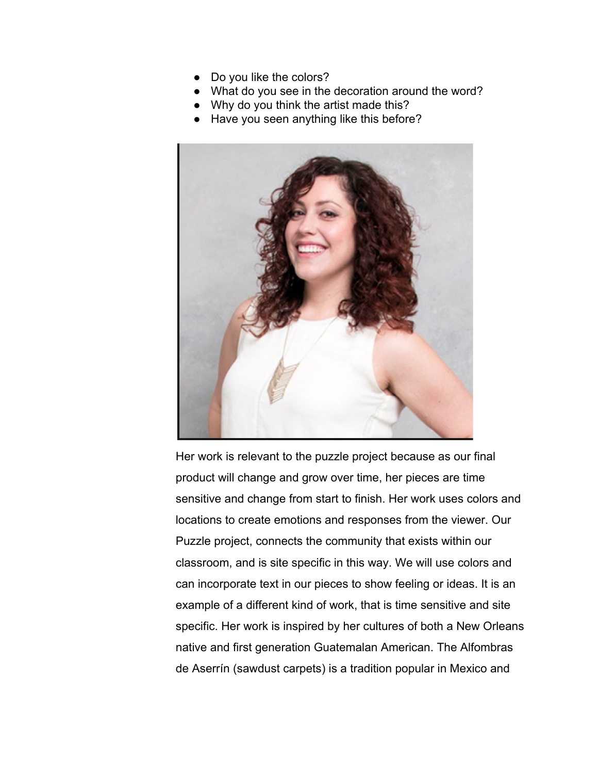- Do you like the colors?
- What do you see in the decoration around the word?
- Why do you think the artist made this?
- Have you seen anything like this before?



Her work is relevant to the puzzle project because as our final product will change and grow over time, her pieces are time sensitive and change from start to finish. Her work uses colors and locations to create emotions and responses from the viewer. Our Puzzle project, connects the community that exists within our classroom, and is site specific in this way. We will use colors and can incorporate text in our pieces to show feeling or ideas. It is an example of a different kind of work, that is time sensitive and site specific. Her work is inspired by her cultures of both a New Orleans native and first generation Guatemalan American. The Alfombras de Aserrín (sawdust carpets) is a tradition popular in Mexico and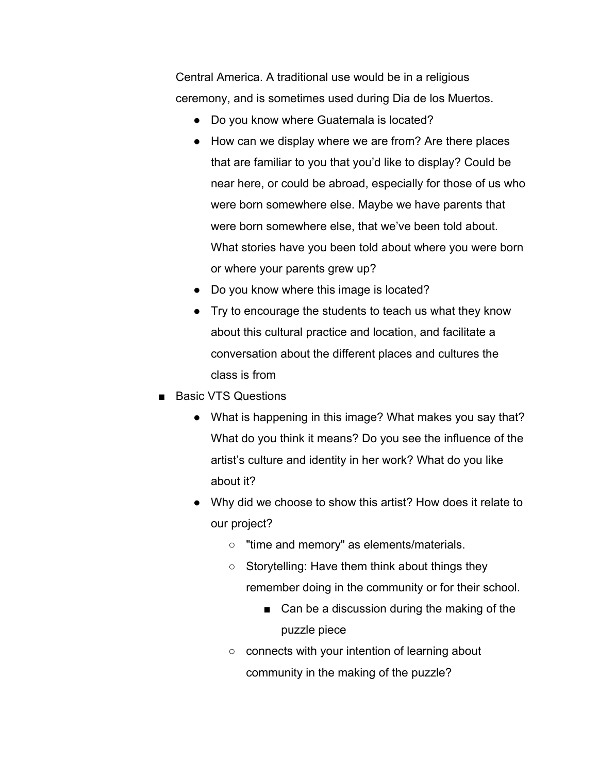Central America. A traditional use would be in a religious ceremony, and is sometimes used during Dia de los Muertos.

- Do you know where Guatemala is located?
- How can we display where we are from? Are there places that are familiar to you that you'd like to display? Could be near here, or could be abroad, especially for those of us who were born somewhere else. Maybe we have parents that were born somewhere else, that we've been told about. What stories have you been told about where you were born or where your parents grew up?
- Do you know where this image is located?
- Try to encourage the students to teach us what they know about this cultural practice and location, and facilitate a conversation about the different places and cultures the class is from
- Basic VTS Questions
	- What is happening in this image? What makes you say that? What do you think it means? Do you see the influence of the artist's culture and identity in her work? What do you like about it?
	- Why did we choose to show this artist? How does it relate to our project?
		- "time and memory" as elements/materials.
		- $\circ$  Storytelling: Have them think about things they remember doing in the community or for their school.
			- Can be a discussion during the making of the puzzle piece
		- connects with your intention of learning about community in the making of the puzzle?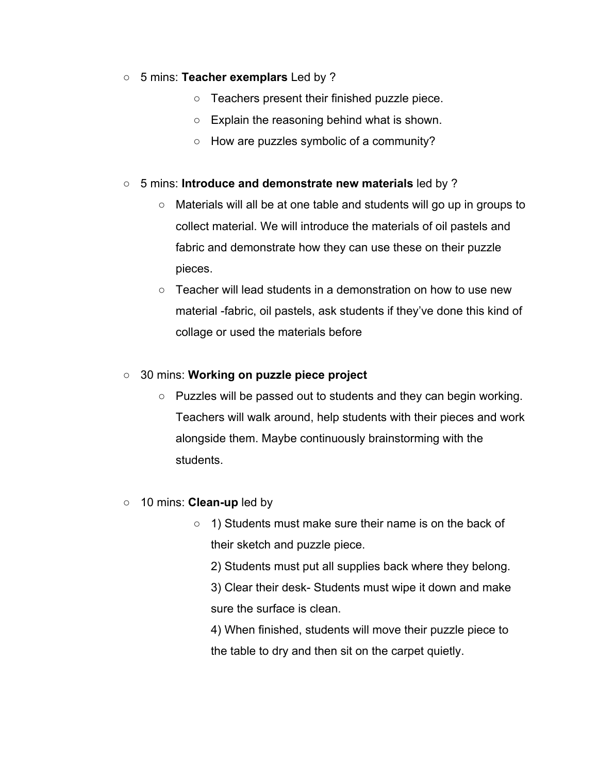#### ○ 5 mins: **Teacher exemplars** Led by ?

- Teachers present their finished puzzle piece.
- Explain the reasoning behind what is shown.
- How are puzzles symbolic of a community?

#### ○ 5 mins: **Introduce and demonstrate new materials** led by ?

- Materials will all be at one table and students will go up in groups to collect material. We will introduce the materials of oil pastels and fabric and demonstrate how they can use these on their puzzle pieces.
- Teacher will lead students in a demonstration on how to use new material -fabric, oil pastels, ask students if they've done this kind of collage or used the materials before

#### ○ 30 mins: **Working on puzzle piece project**

- Puzzles will be passed out to students and they can begin working. Teachers will walk around, help students with their pieces and work alongside them. Maybe continuously brainstorming with the students.
- 10 mins: **Clean-up** led by
	- 1) Students must make sure their name is on the back of their sketch and puzzle piece.

2) Students must put all supplies back where they belong.

3) Clear their desk- Students must wipe it down and make sure the surface is clean.

4) When finished, students will move their puzzle piece to the table to dry and then sit on the carpet quietly.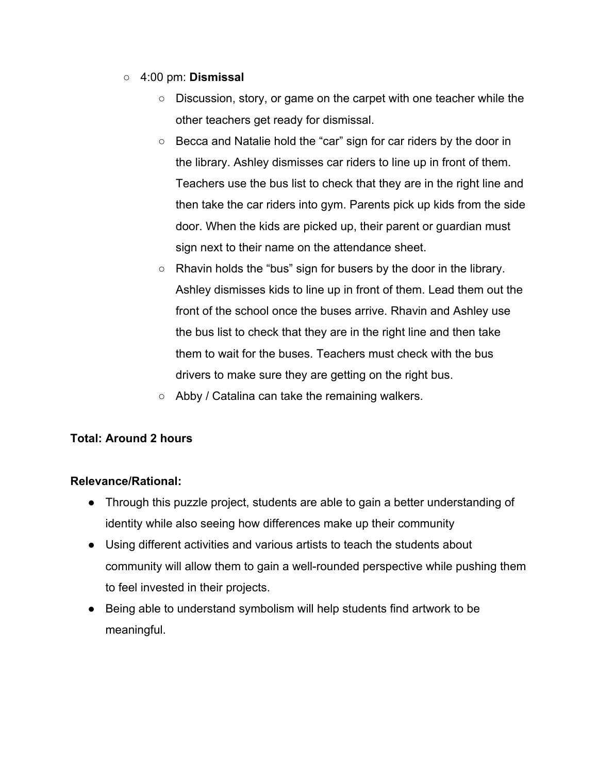- 4:00 pm: **Dismissal**
	- Discussion, story, or game on the carpet with one teacher while the other teachers get ready for dismissal.
	- Becca and Natalie hold the "car" sign for car riders by the door in the library. Ashley dismisses car riders to line up in front of them. Teachers use the bus list to check that they are in the right line and then take the car riders into gym. Parents pick up kids from the side door. When the kids are picked up, their parent or guardian must sign next to their name on the attendance sheet.
	- $\circ$  Rhavin holds the "bus" sign for busers by the door in the library. Ashley dismisses kids to line up in front of them. Lead them out the front of the school once the buses arrive. Rhavin and Ashley use the bus list to check that they are in the right line and then take them to wait for the buses. Teachers must check with the bus drivers to make sure they are getting on the right bus.
	- $\circ$  Abby / Catalina can take the remaining walkers.

# **Total: Around 2 hours**

## **Relevance/Rational:**

- Through this puzzle project, students are able to gain a better understanding of identity while also seeing how differences make up their community
- Using different activities and various artists to teach the students about community will allow them to gain a well-rounded perspective while pushing them to feel invested in their projects.
- Being able to understand symbolism will help students find artwork to be meaningful.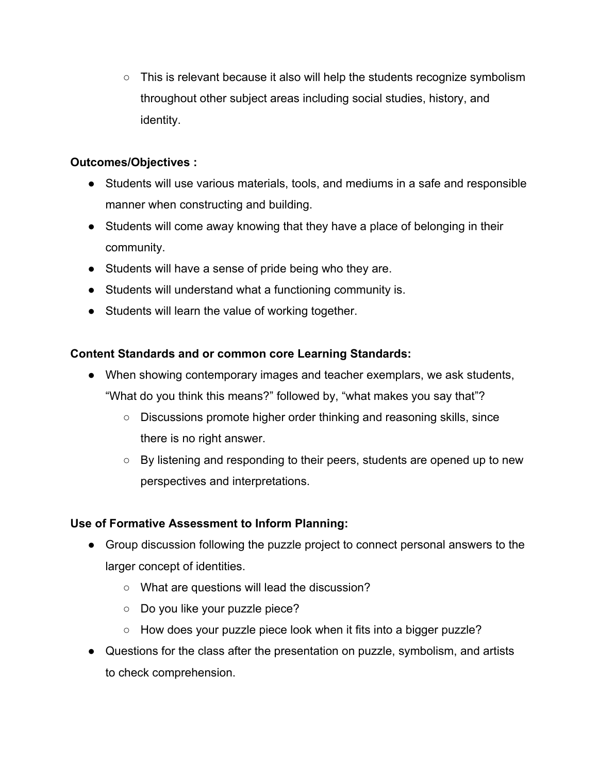$\circ$  This is relevant because it also will help the students recognize symbolism throughout other subject areas including social studies, history, and identity.

## **Outcomes/Objectives :**

- Students will use various materials, tools, and mediums in a safe and responsible manner when constructing and building.
- Students will come away knowing that they have a place of belonging in their community.
- Students will have a sense of pride being who they are.
- Students will understand what a functioning community is.
- Students will learn the value of working together.

# **Content Standards and or common core Learning Standards:**

- When showing contemporary images and teacher exemplars, we ask students, "What do you think this means?" followed by, "what makes you say that"?
	- Discussions promote higher order thinking and reasoning skills, since there is no right answer.
	- By listening and responding to their peers, students are opened up to new perspectives and interpretations.

# **Use of Formative Assessment to Inform Planning:**

- Group discussion following the puzzle project to connect personal answers to the larger concept of identities.
	- What are questions will lead the discussion?
	- Do you like your puzzle piece?
	- How does your puzzle piece look when it fits into a bigger puzzle?
- Questions for the class after the presentation on puzzle, symbolism, and artists to check comprehension.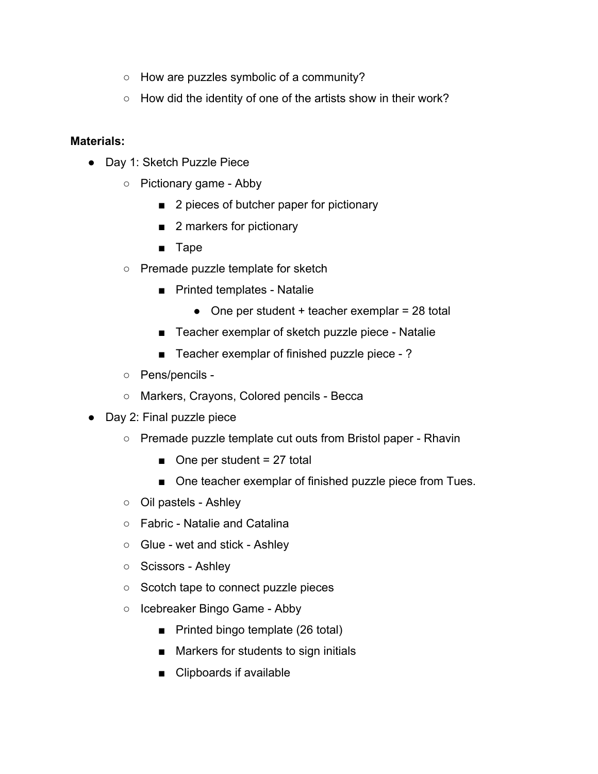- How are puzzles symbolic of a community?
- How did the identity of one of the artists show in their work?

#### **Materials:**

- Day 1: Sketch Puzzle Piece
	- Pictionary game Abby
		- 2 pieces of butcher paper for pictionary
		- 2 markers for pictionary
		- Tape
	- Premade puzzle template for sketch
		- Printed templates Natalie
			- $\bullet$  One per student + teacher exemplar = 28 total
		- Teacher exemplar of sketch puzzle piece Natalie
		- Teacher exemplar of finished puzzle piece -?
	- Pens/pencils -
	- Markers, Crayons, Colored pencils Becca
- Day 2: Final puzzle piece
	- Premade puzzle template cut outs from Bristol paper Rhavin
		- $\Box$  One per student = 27 total
		- One teacher exemplar of finished puzzle piece from Tues.
	- Oil pastels Ashley
	- Fabric Natalie and Catalina
	- Glue wet and stick Ashley
	- Scissors Ashley
	- Scotch tape to connect puzzle pieces
	- Icebreaker Bingo Game Abby
		- Printed bingo template (26 total)
		- Markers for students to sign initials
		- Clipboards if available